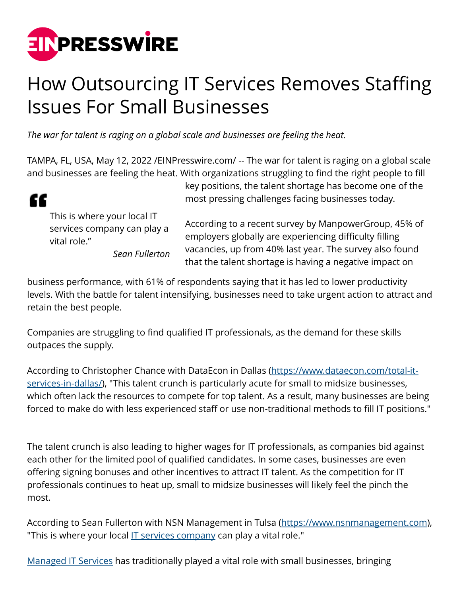

## How Outsourcing IT Services Removes Staffing Issues For Small Businesses

*The war for talent is raging on a global scale and businesses are feeling the heat.*

TAMPA, FL, USA, May 12, 2022 [/EINPresswire.com](http://www.einpresswire.com)/ -- The war for talent is raging on a global scale and businesses are feeling the heat. With organizations struggling to find the right people to fill



This is where your local IT services company can play a vital role."

*Sean Fullerton*

key positions, the talent shortage has become one of the most pressing challenges facing businesses today.

According to a recent survey by ManpowerGroup, 45% of employers globally are experiencing difficulty filling vacancies, up from 40% last year. The survey also found that the talent shortage is having a negative impact on

business performance, with 61% of respondents saying that it has led to lower productivity levels. With the battle for talent intensifying, businesses need to take urgent action to attract and retain the best people.

Companies are struggling to find qualified IT professionals, as the demand for these skills outpaces the supply.

According to Christopher Chance with DataEcon in Dallas [\(https://www.dataecon.com/total-it](https://www.dataecon.com/total-it-services-in-dallas/)[services-in-dallas/](https://www.dataecon.com/total-it-services-in-dallas/)), "This talent crunch is particularly acute for small to midsize businesses, which often lack the resources to compete for top talent. As a result, many businesses are being forced to make do with less experienced staff or use non-traditional methods to fill IT positions."

The talent crunch is also leading to higher wages for IT professionals, as companies bid against each other for the limited pool of qualified candidates. In some cases, businesses are even offering signing bonuses and other incentives to attract IT talent. As the competition for IT professionals continues to heat up, small to midsize businesses will likely feel the pinch the most.

According to Sean Fullerton with NSN Management in Tulsa ([https://www.nsnmanagement.com\)](https://www.nsnmanagement.com), "This is where your local <u>IT services company</u> can play a vital role."

[Managed IT Services](https://www.generationix.com/los-angeles-managed-it-services/) has traditionally played a vital role with small businesses, bringing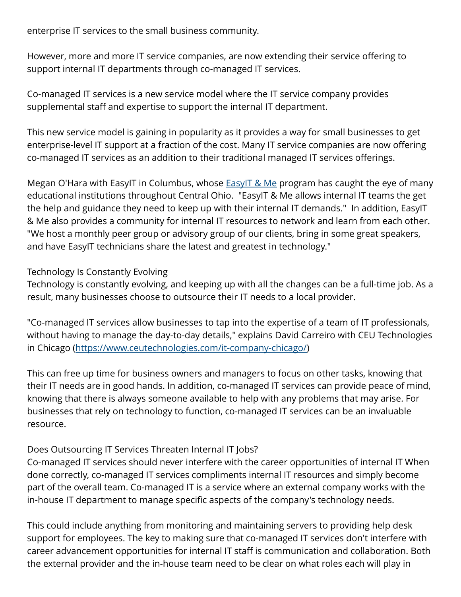enterprise IT services to the small business community.

However, more and more IT service companies, are now extending their service offering to support internal IT departments through co-managed IT services.

Co-managed IT services is a new service model where the IT service company provides supplemental staff and expertise to support the internal IT department.

This new service model is gaining in popularity as it provides a way for small businesses to get enterprise-level IT support at a fraction of the cost. Many IT service companies are now offering co-managed IT services as an addition to their traditional managed IT services offerings.

Megan O'Hara with EasyIT in Columbus, whose **EasyIT & Me program has caught the eye of many** educational institutions throughout Central Ohio. "EasyIT & Me allows internal IT teams the get the help and guidance they need to keep up with their internal IT demands." In addition, EasyIT & Me also provides a community for internal IT resources to network and learn from each other. "We host a monthly peer group or advisory group of our clients, bring in some great speakers, and have EasyIT technicians share the latest and greatest in technology."

Technology Is Constantly Evolving

Technology is constantly evolving, and keeping up with all the changes can be a full-time job. As a result, many businesses choose to outsource their IT needs to a local provider.

"Co-managed IT services allow businesses to tap into the expertise of a team of IT professionals, without having to manage the day-to-day details," explains David Carreiro with CEU Technologies in Chicago [\(https://www.ceutechnologies.com/it-company-chicago/\)](https://www.ceutechnologies.com/it-company-chicago/)

This can free up time for business owners and managers to focus on other tasks, knowing that their IT needs are in good hands. In addition, co-managed IT services can provide peace of mind, knowing that there is always someone available to help with any problems that may arise. For businesses that rely on technology to function, co-managed IT services can be an invaluable resource.

## Does Outsourcing IT Services Threaten Internal IT Jobs?

Co-managed IT services should never interfere with the career opportunities of internal IT When done correctly, co-managed IT services compliments internal IT resources and simply become part of the overall team. Co-managed IT is a service where an external company works with the in-house IT department to manage specific aspects of the company's technology needs.

This could include anything from monitoring and maintaining servers to providing help desk support for employees. The key to making sure that co-managed IT services don't interfere with career advancement opportunities for internal IT staff is communication and collaboration. Both the external provider and the in-house team need to be clear on what roles each will play in